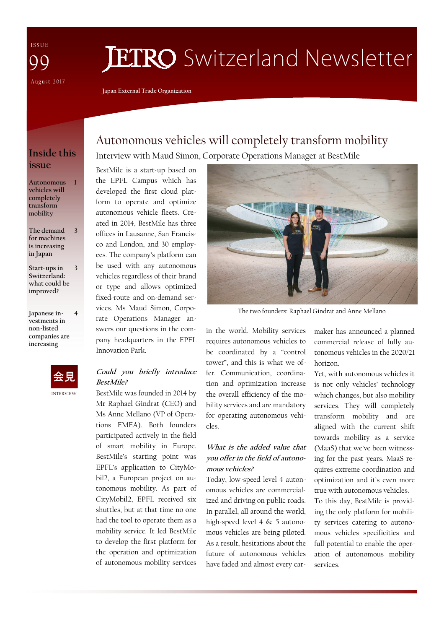I S S U E August 2017 99

# **JETRO** Switzerland Newsletter

**Japan External Trade Organization** 

## **Inside this issue**

**1** 

| Autonomous    |
|---------------|
| vehicles will |
| completely    |
| transform     |
| mobility      |

**The demand for machines is increasing in Japan 3** 

- **Start-ups in Switzerland: what could be improved? 3**
- **Japanese investments in non-listed companies are increasing**



**4** 

INTERVIEW

# Autonomous vehicles will completely transform mobility Interview with Maud Simon, Corporate Operations Manager at BestMile

BestMile is a start-up based on the EPFL Campus which has developed the first cloud platform to operate and optimize autonomous vehicle fleets. Created in 2014, BestMile has three offices in Lausanne, San Francisco and London, and 30 employees. The company's platform can be used with any autonomous vehicles regardless of their brand or type and allows optimized fixed-route and on-demand services. Ms Maud Simon, Corporate Operations Manager answers our questions in the company headquarters in the EPFL Innovation Park.

#### **Could you briefly introduce BestMile?**

BestMile was founded in 2014 by Mr Raphael Gindrat (CEO) and Ms Anne Mellano (VP of Operations EMEA). Both founders participated actively in the field of smart mobility in Europe. BestMile's starting point was EPFL's application to CityMobil2, a European project on autonomous mobility. As part of CityMobil2, EPFL received six shuttles, but at that time no one had the tool to operate them as a mobility service. It led BestMile to develop the first platform for the operation and optimization of autonomous mobility services



The two founders: Raphael Gindrat and Anne Mellano

in the world. Mobility services requires autonomous vehicles to be coordinated by a "control tower", and this is what we offer. Communication, coordination and optimization increase the overall efficiency of the mobility services and are mandatory for operating autonomous vehicles.

#### **What is the added value that you offer in the field of autonomous vehicles?**

Today, low-speed level 4 autonomous vehicles are commercialized and driving on public roads. In parallel, all around the world, high-speed level 4 & 5 autonomous vehicles are being piloted. As a result, hesitations about the future of autonomous vehicles have faded and almost every carmaker has announced a planned commercial release of fully autonomous vehicles in the 2020/21 horizon.

Yet, with autonomous vehicles it is not only vehicles' technology which changes, but also mobility services. They will completely transform mobility and are aligned with the current shift towards mobility as a service (MaaS) that we've been witnessing for the past years. MaaS requires extreme coordination and optimization and it's even more true with autonomous vehicles.

To this day, BestMile is providing the only platform for mobility services catering to autonomous vehicles specificities and full potential to enable the operation of autonomous mobility services.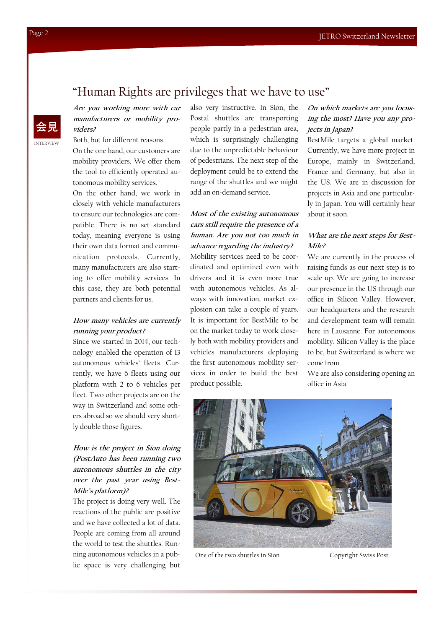# "Human Rights are privileges that we have to use"

**Are you working more with car manufacturers or mobility providers?** 

Both, but for different reasons. On the one hand, our customers are

mobility providers. We offer them the tool to efficiently operated autonomous mobility services.

On the other hand, we work in closely with vehicle manufacturers to ensure our technologies are compatible. There is no set standard today, meaning everyone is using their own data format and communication protocols. Currently, many manufacturers are also starting to offer mobility services. In this case, they are both potential partners and clients for us.

#### **How many vehicles are currently running your product?**

Since we started in 2014, our technology enabled the operation of 13 autonomous vehicles' fleets. Currently, we have 6 fleets using our platform with 2 to 6 vehicles per fleet. Two other projects are on the way in Switzerland and some others abroad so we should very shortly double those figures.

#### **How is the project in Sion doing (PostAuto has been running two autonomous shuttles in the city over the past year using Best-Mile's platform)?**

The project is doing very well. The reactions of the public are positive and we have collected a lot of data. People are coming from all around the world to test the shuttles. Running autonomous vehicles in a public space is very challenging but

also very instructive. In Sion, the Postal shuttles are transporting people partly in a pedestrian area, which is surprisingly challenging due to the unpredictable behaviour of pedestrians. The next step of the deployment could be to extend the range of the shuttles and we might add an on-demand service.

#### **Most of the existing autonomous cars still require the presence of a human. Are you not too much in advance regarding the industry?**

Mobility services need to be coordinated and optimized even with drivers and it is even more true with autonomous vehicles. As always with innovation, market explosion can take a couple of years. It is important for BestMile to be on the market today to work closely both with mobility providers and vehicles manufacturers deploying the first autonomous mobility services in order to build the best product possible.

#### **On which markets are you focusing the most? Have you any projects in Japan?**

BestMile targets a global market. Currently, we have more project in Europe, mainly in Switzerland, France and Germany, but also in the US. We are in discussion for projects in Asia and one particularly in Japan. You will certainly hear about it soon.

#### **What are the next steps for Best-Mile?**

We are currently in the process of raising funds as our next step is to scale up. We are going to increase our presence in the US through our office in Silicon Valley. However, our headquarters and the research and development team will remain here in Lausanne. For autonomous mobility, Silicon Valley is the place to be, but Switzerland is where we come from.

We are also considering opening an office in Asia.



One of the two shuttles in Sion Copyright Swiss Post

INTERVIEW

会見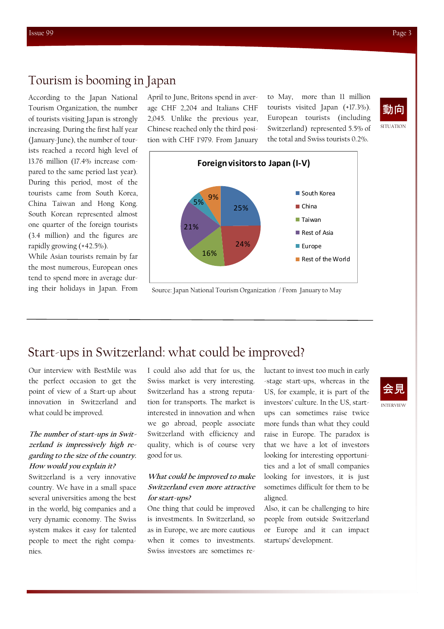### Tourism is booming in Japan

According to the Japan National Tourism Organization, the number of tourists visiting Japan is strongly increasing. During the first half year (January-June), the number of tourists reached a record high level of 13.76 million (17.4% increase compared to the same period last year). During this period, most of the tourists came from South Korea, China Taiwan and Hong Kong. South Korean represented almost one quarter of the foreign tourists (3.4 million) and the figures are rapidly growing (+42.5%).

While Asian tourists remain by far the most numerous, European ones tend to spend more in average during their holidays in Japan. From April to June, Britons spend in average CHF 2,204 and Italians CHF 2,045. Unlike the previous year, Chinese reached only the third position with CHF 1'979. From January

to May, more than 11 million tourists visited Japan (+17.3%). European tourists (including Switzerland) represented 5.5% of the total and Swiss tourists 0.2%.





Source: Japan National Tourism Organization / From January to May

# Start-ups in Switzerland: what could be improved?

Our interview with BestMile was the perfect occasion to get the point of view of a Start-up about innovation in Switzerland and what could be improved.

#### **The number of start-ups in Switzerland is impressively high regarding to the size of the country. How would you explain it?**

Switzerland is a very innovative country. We have in a small space several universities among the best in the world, big companies and a very dynamic economy. The Swiss system makes it easy for talented people to meet the right companies.

I could also add that for us, the Swiss market is very interesting. Switzerland has a strong reputation for transports. The market is interested in innovation and when we go abroad, people associate Switzerland with efficiency and quality, which is of course very good for us.

#### **What could be improved to make Switzerland even more attractive for start-ups?**

One thing that could be improved is investments. In Switzerland, so as in Europe, we are more cautious when it comes to investments. Swiss investors are sometimes reluctant to invest too much in early -stage start-ups, whereas in the US, for example, it is part of the investors' culture. In the US, startups can sometimes raise twice more funds than what they could raise in Europe. The paradox is that we have a lot of investors looking for interesting opportunities and a lot of small companies looking for investors, it is just sometimes difficult for them to be aligned.

Also, it can be challenging to hire people from outside Switzerland or Europe and it can impact startups' development.